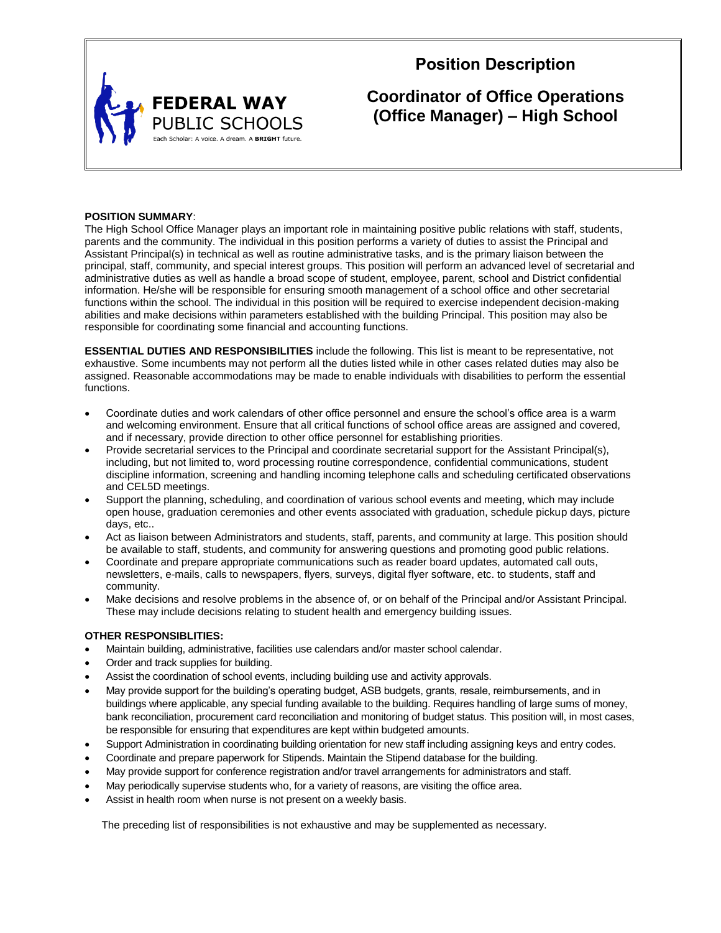

## **Position Description**

# **Coordinator of Office Operations (Office Manager) – High School**

## **POSITION SUMMARY**:

The High School Office Manager plays an important role in maintaining positive public relations with staff, students, parents and the community. The individual in this position performs a variety of duties to assist the Principal and Assistant Principal(s) in technical as well as routine administrative tasks, and is the primary liaison between the principal, staff, community, and special interest groups. This position will perform an advanced level of secretarial and administrative duties as well as handle a broad scope of student, employee, parent, school and District confidential information. He/she will be responsible for ensuring smooth management of a school office and other secretarial functions within the school. The individual in this position will be required to exercise independent decision-making abilities and make decisions within parameters established with the building Principal. This position may also be responsible for coordinating some financial and accounting functions.

**ESSENTIAL DUTIES AND RESPONSIBILITIES** include the following. This list is meant to be representative, not exhaustive. Some incumbents may not perform all the duties listed while in other cases related duties may also be assigned. Reasonable accommodations may be made to enable individuals with disabilities to perform the essential functions.

- Coordinate duties and work calendars of other office personnel and ensure the school's office area is a warm and welcoming environment. Ensure that all critical functions of school office areas are assigned and covered, and if necessary, provide direction to other office personnel for establishing priorities.
- Provide secretarial services to the Principal and coordinate secretarial support for the Assistant Principal(s), including, but not limited to, word processing routine correspondence, confidential communications, student discipline information, screening and handling incoming telephone calls and scheduling certificated observations and CEL5D meetings.
- Support the planning, scheduling, and coordination of various school events and meeting, which may include open house, graduation ceremonies and other events associated with graduation, schedule pickup days, picture days, etc..
- Act as liaison between Administrators and students, staff, parents, and community at large. This position should be available to staff, students, and community for answering questions and promoting good public relations.
- Coordinate and prepare appropriate communications such as reader board updates, automated call outs, newsletters, e-mails, calls to newspapers, flyers, surveys, digital flyer software, etc. to students, staff and community.
- Make decisions and resolve problems in the absence of, or on behalf of the Principal and/or Assistant Principal. These may include decisions relating to student health and emergency building issues.

#### **OTHER RESPONSIBLITIES:**

- Maintain building, administrative, facilities use calendars and/or master school calendar.
- Order and track supplies for building.
- Assist the coordination of school events, including building use and activity approvals.
- May provide support for the building's operating budget, ASB budgets, grants, resale, reimbursements, and in buildings where applicable, any special funding available to the building. Requires handling of large sums of money, bank reconciliation, procurement card reconciliation and monitoring of budget status. This position will, in most cases, be responsible for ensuring that expenditures are kept within budgeted amounts.
- Support Administration in coordinating building orientation for new staff including assigning keys and entry codes.
- Coordinate and prepare paperwork for Stipends. Maintain the Stipend database for the building.
- May provide support for conference registration and/or travel arrangements for administrators and staff.
- May periodically supervise students who, for a variety of reasons, are visiting the office area.
- Assist in health room when nurse is not present on a weekly basis.

The preceding list of responsibilities is not exhaustive and may be supplemented as necessary.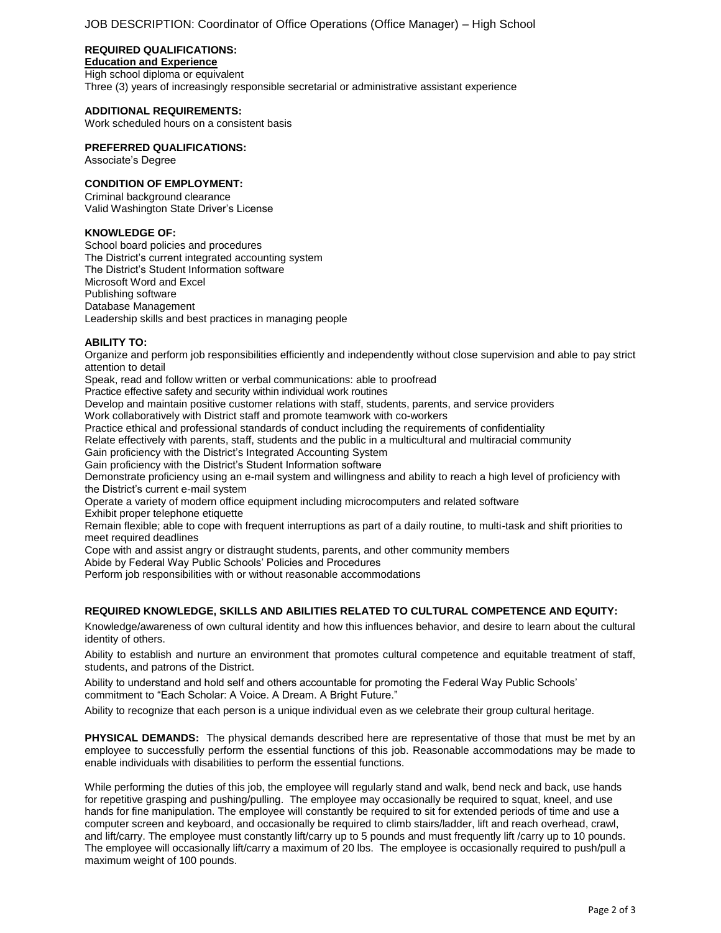### **REQUIRED QUALIFICATIONS:**

## **Education and Experience**

High school diploma or equivalent Three (3) years of increasingly responsible secretarial or administrative assistant experience

#### **ADDITIONAL REQUIREMENTS:**

Work scheduled hours on a consistent basis

#### **PREFERRED QUALIFICATIONS:**

Associate's Degree

#### **CONDITION OF EMPLOYMENT:**

Criminal background clearance Valid Washington State Driver's License

#### **KNOWLEDGE OF:**

School board policies and procedures The District's current integrated accounting system The District's Student Information software Microsoft Word and Excel Publishing software Database Management Leadership skills and best practices in managing people

## **ABILITY TO:**

Organize and perform job responsibilities efficiently and independently without close supervision and able to pay strict attention to detail

Speak, read and follow written or verbal communications: able to proofread

Practice effective safety and security within individual work routines

Develop and maintain positive customer relations with staff, students, parents, and service providers

Work collaboratively with District staff and promote teamwork with co-workers

Practice ethical and professional standards of conduct including the requirements of confidentiality

Relate effectively with parents, staff, students and the public in a multicultural and multiracial community

Gain proficiency with the District's Integrated Accounting System

Gain proficiency with the District's Student Information software

Demonstrate proficiency using an e-mail system and willingness and ability to reach a high level of proficiency with the District's current e-mail system

Operate a variety of modern office equipment including microcomputers and related software

Exhibit proper telephone etiquette

Remain flexible; able to cope with frequent interruptions as part of a daily routine, to multi-task and shift priorities to meet required deadlines

Cope with and assist angry or distraught students, parents, and other community members

Abide by Federal Way Public Schools' Policies and Procedures

Perform job responsibilities with or without reasonable accommodations

## **REQUIRED KNOWLEDGE, SKILLS AND ABILITIES RELATED TO CULTURAL COMPETENCE AND EQUITY:**

Knowledge/awareness of own cultural identity and how this influences behavior, and desire to learn about the cultural identity of others.

Ability to establish and nurture an environment that promotes cultural competence and equitable treatment of staff, students, and patrons of the District.

Ability to understand and hold self and others accountable for promoting the Federal Way Public Schools' commitment to "Each Scholar: A Voice. A Dream. A Bright Future."

Ability to recognize that each person is a unique individual even as we celebrate their group cultural heritage.

**PHYSICAL DEMANDS:** The physical demands described here are representative of those that must be met by an employee to successfully perform the essential functions of this job. Reasonable accommodations may be made to enable individuals with disabilities to perform the essential functions.

While performing the duties of this job, the employee will regularly stand and walk, bend neck and back, use hands for repetitive grasping and pushing/pulling. The employee may occasionally be required to squat, kneel, and use hands for fine manipulation. The employee will constantly be required to sit for extended periods of time and use a computer screen and keyboard, and occasionally be required to climb stairs/ladder, lift and reach overhead, crawl, and lift/carry. The employee must constantly lift/carry up to 5 pounds and must frequently lift /carry up to 10 pounds. The employee will occasionally lift/carry a maximum of 20 lbs. The employee is occasionally required to push/pull a maximum weight of 100 pounds.